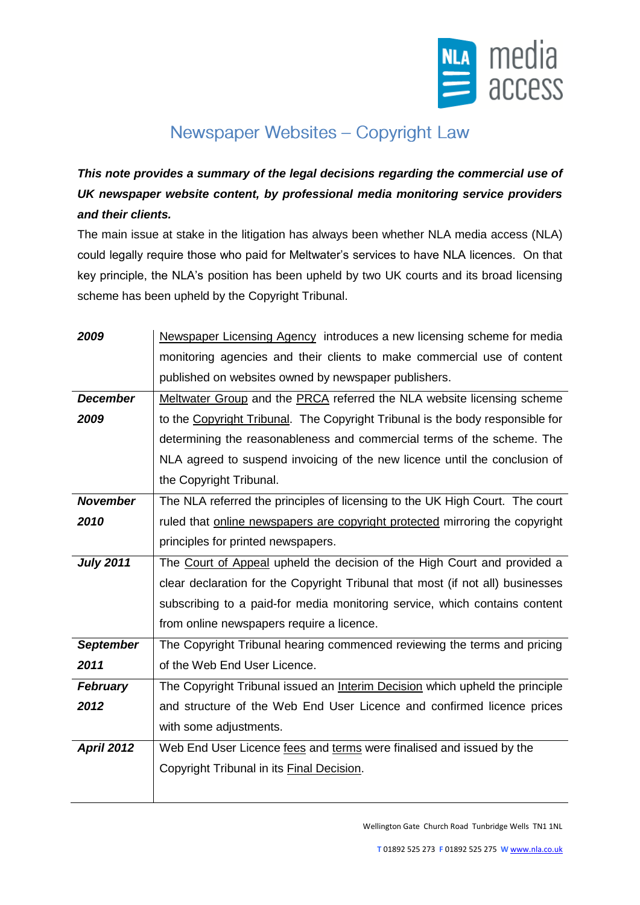

## Newspaper Websites - Copyright Law

*This note provides a summary of the legal decisions regarding the commercial use of UK newspaper website content, by professional media monitoring service providers and their clients.*

The main issue at stake in the litigation has always been whether NLA media access (NLA) could legally require those who paid for Meltwater's services to have NLA licences. On that key principle, the NLA's position has been upheld by two UK courts and its broad licensing scheme has been upheld by the Copyright Tribunal.

| 2009              | Newspaper Licensing Agency introduces a new licensing scheme for media         |
|-------------------|--------------------------------------------------------------------------------|
|                   | monitoring agencies and their clients to make commercial use of content        |
|                   | published on websites owned by newspaper publishers.                           |
| <b>December</b>   | Meltwater Group and the PRCA referred the NLA website licensing scheme         |
| 2009              | to the Copyright Tribunal. The Copyright Tribunal is the body responsible for  |
|                   | determining the reasonableness and commercial terms of the scheme. The         |
|                   | NLA agreed to suspend invoicing of the new licence until the conclusion of     |
|                   | the Copyright Tribunal.                                                        |
| <b>November</b>   | The NLA referred the principles of licensing to the UK High Court. The court   |
| 2010              | ruled that online newspapers are copyright protected mirroring the copyright   |
|                   | principles for printed newspapers.                                             |
| <b>July 2011</b>  | The Court of Appeal upheld the decision of the High Court and provided a       |
|                   | clear declaration for the Copyright Tribunal that most (if not all) businesses |
|                   | subscribing to a paid-for media monitoring service, which contains content     |
|                   | from online newspapers require a licence.                                      |
| <b>September</b>  | The Copyright Tribunal hearing commenced reviewing the terms and pricing       |
| 2011              | of the Web End User Licence.                                                   |
| <b>February</b>   | The Copyright Tribunal issued an Interim Decision which upheld the principle   |
| 2012              | and structure of the Web End User Licence and confirmed licence prices         |
|                   | with some adjustments.                                                         |
| <b>April 2012</b> | Web End User Licence fees and terms were finalised and issued by the           |
|                   | Copyright Tribunal in its Final Decision.                                      |
|                   |                                                                                |

Wellington Gate Church Road Tunbridge Wells TN1 1NL